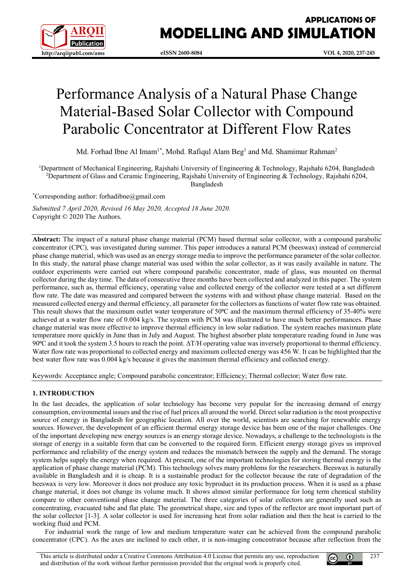

# **APPLICATIONS OF MODELLING AND SIMULATION**

# Performance Analysis of a Natural Phase Change Material-Based Solar Collector with Compound Parabolic Concentrator at Different Flow Rates

Md. Forhad Ibne Al Imam<sup>1\*</sup>, Mohd. Rafiqul Alam Beg<sup>1</sup> and Md. Shamimur Rahman<sup>2</sup>

<sup>1</sup>Department of Mechanical Engineering, Rajshahi University of Engineering & Technology, Rajshahi 6204, Bangladesh 2 Department of Glass and Ceramic Engineering, Rajshahi University of Engineering & Technology, Rajshahi 6204, Bangladesh

\* Corresponding author: forhadibne@gmail.com

*Submitted 7 April 2020, Revised 16 May 2020, Accepted 18 June 2020.* Copyright © 2020 The Authors.

**Abstract:** The impact of a natural phase change material (PCM) based thermal solar collector, with a compound parabolic concentrator (CPC), was investigated during summer. This paper introduces a natural PCM (beeswax) instead of commercial phase change material, which was used as an energy storage media to improve the performance parameter of the solar collector. In this study, the natural phase change material was used within the solar collector, as it was easily available in nature. The outdoor experiments were carried out where compound parabolic concentrator, made of glass, was mounted on thermal collector during the day time. The data of consecutive three months have been collected and analyzed in this paper. The system performance, such as, thermal efficiency, operating value and collected energy of the collector were tested at a set different flow rate. The date was measured and compared between the systems with and without phase change material. Based on the measured collected energy and thermal efficiency, all parameter for the collectors as functions of water flow rate was obtained. This result shows that the maximum outlet water temperature of 50<sup>o</sup>C and the maximum thermal efficiency of 35-40% were achieved at a water flow rate of 0.004 kg/s. The system with PCM was illustrated to have much better performances. Phase change material was more effective to improve thermal efficiency in low solar radiation. The system reaches maximum plate temperature more quickly in June than in July and August. The highest absorber plate temperature reading found in June was 90⁰C and it took the system 3.5 hours to reach the point. ΔT/H operating value was inversely proportional to thermal efficiency. Water flow rate was proportional to collected energy and maximum collected energy was 456 W. It can be highlighted that the best water flow rate was 0.004 kg/s because it gives the maximum thermal efficiency and collected energy.

Keywords: Acceptance angle; Compound parabolic concentrator; Efficiency; Thermal collector; Water flow rate.

# **1. INTRODUCTION**

In the last decades, the application of solar technology has become very popular for the increasing demand of energy consumption, environmental issues and the rise of fuel prices all around the world. Direct solar radiation is the most prospective source of energy in Bangladesh for geographic location. All over the world, scientists are searching for renewable energy sources. However, the development of an efficient thermal energy storage device has been one of the major challenges. One of the important developing new energy sources is an energy storage device. Nowadays, a challenge to the technologists is the storage of energy in a suitable form that can be converted to the required form. Efficient energy storage gives us improved performance and reliability of the energy system and reduces the mismatch between the supply and the demand. The storage system helps supply the energy when required. At present, one of the important technologies for storing thermal energy is the application of phase change material (PCM). This technology solves many problems for the researchers. Beeswax is naturally available in Bangladesh and it is cheap. It is a sustainable product for the collector because the rate of degradation of the beeswax is very low. Moreover it does not produce any toxic byproduct in its production process. When it is used as a phase change material, it does not change its volume much. It shows almost similar performance for long term chemical stability compare to other conventional phase change material. The three categories of solar collectors are generally used such as concentrating, evacuated tube and flat plate. The geometrical shape, size and types of the reflector are most important part of the solar collector [1-3]. A solar collector is used for increasing heat from solar radiation and then the heat is carried to the working fluid and PCM.

For industrial work the range of low and medium temperature water can be achieved from the compound parabolic concentrator (CPC). As the axes are inclined to each other, it is non-imaging concentrator because after reflection from the

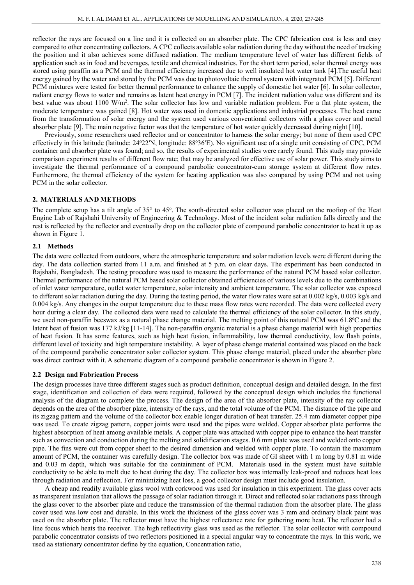reflector the rays are focused on a line and it is collected on an absorber plate. The CPC fabrication cost is less and easy compared to other concentrating collectors. A CPC collects available solar radiation during the day without the need of tracking the position and it also achieves some diffused radiation. The medium temperature level of water has different fields of application such as in food and beverages, textile and chemical industries. For the short term period, solar thermal energy was stored using paraffin as a PCM and the thermal efficiency increased due to well insulated hot water tank [4].The useful heat energy gained by the water and stored by the PCM was due to photovoltaic thermal system with integrated PCM [5]. Different PCM mixtures were tested for better thermal performance to enhance the supply of domestic hot water [6]. In solar collector, radiant energy flows to water and remains as latent heat energy in PCM [7]. The incident radiation value was different and its best value was about 1100 W/m<sup>2</sup>. The solar collector has low and variable radiation problem. For a flat plate system, the moderate temperature was gained [8]. Hot water was used in domestic applications and industrial processes. The heat came from the transformation of solar energy and the system used various conventional collectors with a glass cover and metal absorber plate [9]. The main negative factor was that the temperature of hot water quickly decreased during night [10].

 Previously, some researchers used reflector and or concentrator to harness the solar energy; but none of them used CPC effectively in this latitude (latitude: 24°22′N, longitude: 88°36′E). No significant use of a single unit consisting of CPC, PCM container and absorber plate was found; and so, the results of experimental studies were rarely found. This study may provide comparison experiment results of different flow rate; that may be analyzed for effective use of solar power. This study aims to investigate the thermal performance of a compound parabolic concentrator-cum storage system at different flow rates. Furthermore, the thermal efficiency of the system for heating application was also compared by using PCM and not using PCM in the solar collector.

## **2. MATERIALS AND METHODS**

The complete setup has a tilt angle of 35° to 45°. The south-directed solar collector was placed on the rooftop of the Heat Engine Lab of Rajshahi University of Engineering & Technology. Most of the incident solar radiation falls directly and the rest is reflected by the reflector and eventually drop on the collector plate of compound parabolic concentrator to heat it up as shown in Figure 1.

## **2.1 Methods**

The data were collected from outdoors, where the atmospheric temperature and solar radiation levels were different during the day. The data collection started from 11 a.m. and finished at 5 p.m. on clear days. The experiment has been conducted in Rajshahi, Bangladesh. The testing procedure was used to measure the performance of the natural PCM based solar collector. Thermal performance of the natural PCM based solar collector obtained efficiencies of various levels due to the combinations of inlet water temperature, outlet water temperature, solar intensity and ambient temperature. The solar collector was exposed to different solar radiation during the day. During the testing period, the water flow rates were set at 0.002 kg/s, 0.003 kg/s and 0.004 kg/s. Any changes in the output temperature due to these mass flow rates were recorded. The data were collected every hour during a clear day. The collected data were used to calculate the thermal efficiency of the solar collector. In this study, we used non-paraffin beeswax as a natural phase change material. The melting point of this natural PCM was 61.8<sup>o</sup>C and the latent heat of fusion was 177 kJ/kg [11-14]. The non-paraffin organic material is a phase change material with high properties of heat fusion. It has some features, such as high heat fusion, inflammability, low thermal conductivity, low flash points, different level of toxicity and high temperature instability. A layer of phase change material contained was placed on the back of the compound parabolic concentrator solar collector system. This phase change material, placed under the absorber plate was direct contract with it. A schematic diagram of a compound parabolic concentrator is shown in Figure 2.

## **2.2 Design and Fabrication Process**

The design processes have three different stages such as product definition, conceptual design and detailed design. In the first stage, identification and collection of data were required, followed by the conceptual design which includes the functional analysis of the diagram to complete the process. The design of the area of the absorber plate, intensity of the ray collector depends on the area of the absorber plate, intensity of the rays, and the total volume of the PCM. The distance of the pipe and its zigzag pattern and the volume of the collector box enable longer duration of heat transfer. 25.4 mm diameter copper pipe was used. To create zigzag pattern, copper joints were used and the pipes were welded. Copper absorber plate performs the highest absorption of heat among available metals. A copper plate was attached with copper pipe to enhance the heat transfer such as convection and conduction during the melting and solidification stages. 0.6 mm plate was used and welded onto copper pipe. The fins were cut from copper sheet to the desired dimension and welded with copper plate. To contain the maximum amount of PCM, the container was carefully design. The collector box was made of GI sheet with 1 m long by 0.81 m wide and 0.03 m depth, which was suitable for the containment of PCM. Materials used in the system must have suitable conductivity to be able to melt due to heat during the day. The collector box was internally leak-proof and reduces heat loss through radiation and reflection. For minimizing heat loss, a good collector design must include good insulation.

A cheap and readily available glass wool with corkwood was used for insulation in this experiment. The glass cover acts as transparent insulation that allows the passage of solar radiation through it. Direct and reflected solar radiations pass through the glass cover to the absorber plate and reduce the transmission of the thermal radiation from the absorber plate. The glass cover used was low cost and durable. In this work the thickness of the glass cover was 3 mm and ordinary black paint was used on the absorber plate. The reflector must have the highest reflectance rate for gathering more heat. The reflector had a line focus which heats the receiver. The high reflectivity glass was used as the reflector. The solar collector with compound parabolic concentrator consists of two reflectors positioned in a special angular way to concentrate the rays. In this work, we used aa stationary concentrator define by the equation, Concentration ratio,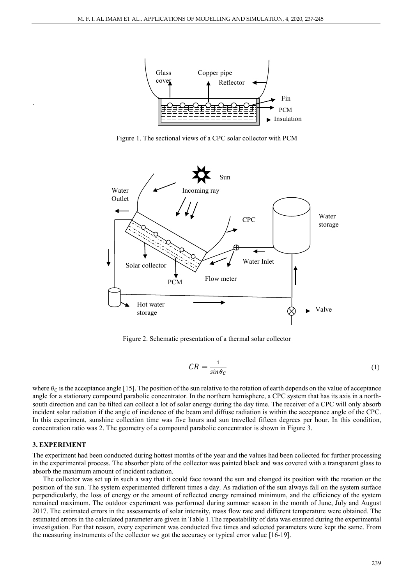

Figure 1. The sectional views of a CPC solar collector with PCM



Figure 2. Schematic presentation of a thermal solar collector

$$
CR = \frac{1}{\sin \theta_c} \tag{1}
$$

where  $\theta_c$  is the acceptance angle [15]. The position of the sun relative to the rotation of earth depends on the value of acceptance angle for a stationary compound parabolic concentrator. In the northern hemisphere, a CPC system that has its axis in a northsouth direction and can be tilted can collect a lot of solar energy during the day time. The receiver of a CPC will only absorb incident solar radiation if the angle of incidence of the beam and diffuse radiation is within the acceptance angle of the CPC. In this experiment, sunshine collection time was five hours and sun travelled fifteen degrees per hour. In this condition, concentration ratio was 2. The geometry of a compound parabolic concentrator is shown in Figure 3.

## **3. EXPERIMENT**

.

The experiment had been conducted during hottest months of the year and the values had been collected for further processing in the experimental process. The absorber plate of the collector was painted black and was covered with a transparent glass to absorb the maximum amount of incident radiation.

 The collector was set up in such a way that it could face toward the sun and changed its position with the rotation or the position of the sun. The system experimented different times a day. As radiation of the sun always fall on the system surface perpendicularly, the loss of energy or the amount of reflected energy remained minimum, and the efficiency of the system remained maximum. The outdoor experiment was performed during summer season in the month of June, July and August 2017. The estimated errors in the assessments of solar intensity, mass flow rate and different temperature were obtained. The estimated errors in the calculated parameter are given in Table 1.The repeatability of data was ensured during the experimental investigation. For that reason, every experiment was conducted five times and selected parameters were kept the same. From the measuring instruments of the collector we got the accuracy or typical error value [16-19].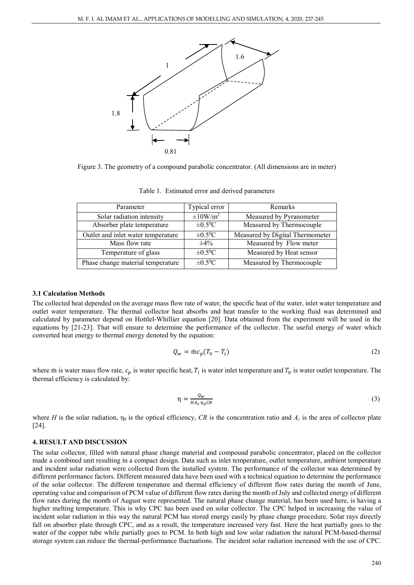

Figure 3. The geometry of a compound parabolic concentrator. (All dimensions are in meter)

| Parameter                          | Typical error             | Remarks                         |
|------------------------------------|---------------------------|---------------------------------|
| Solar radiation intensity          | $\pm 10$ W/m <sup>2</sup> | Measured by Pyranometer         |
| Absorber plate temperature         | $\pm 0.5^0C$              | Measured by Thermocouple        |
| Outlet and inlet water temperature | $\pm 0.5^0C$              | Measured by Digital Thermometer |
| Mass flow rate                     | $+4\%$                    | Measured by Flow meter          |
| Temperature of glass               | $\pm 0.5^0$ C             | Measured by Heat sensor         |
| Phase change material temperature  | $\pm 0.5^0$ C             | Measured by Thermocouple        |

Table 1.Estimated error and derived parameters

#### **3.1 Calculation Methods**

The collected heat depended on the average mass flow rate of water, the specific heat of the water, inlet water temperature and outlet water temperature. The thermal collector heat absorbs and heat transfer to the working fluid was determined and calculated by parameter depend on Hottlel-Whillier equation [20]. Data obtained from the experiment will be used in the equations by [21-23]. That will ensure to determine the performance of the collector. The useful energy of water which converted heat energy to thermal energy denoted by the equation:

$$
Q_w = \text{inc}_p(T_0 - T_i) \tag{2}
$$

where m is water mass flow rate,  $c_p$  is water specific heat,  $T_i$  is water inlet temperature and  $T_0$  is water outlet temperature. The thermal efficiency is calculated by:

$$
\eta = \frac{Q_W}{H A_c \eta_0 C R} \tag{3}
$$

where *H* is the solar radiation,  $\eta_0$  is the optical efficiency, *CR* is the concentration ratio and  $A_c$  is the area of collector plate [24].

## **4. RESULT AND DISCUSSION**

The solar collector, filled with natural phase change material and compound parabolic concentrator, placed on the collector made a combined unit resulting in a compact design. Data such as inlet temperature, outlet temperature, ambient temperature and incident solar radiation were collected from the installed system. The performance of the collector was determined by different performance factors. Different measured data have been used with a technical equation to determine the performance of the solar collector. The different temperature and thermal efficiency of different flow rates during the month of June, operating value and comparison of PCM value of different flow rates during the month of July and collected energy of different flow rates during the month of August were represented. The natural phase change material, has been used here, is having a higher melting temperature. This is why CPC has been used on solar collector. The CPC helped in increasing the value of incident solar radiation in this way the natural PCM has stored energy easily by phase change procedure. Solar rays directly fall on absorber plate through CPC, and as a result, the temperature increased very fast. Here the heat partially goes to the water of the copper tube while partially goes to PCM. In both high and low solar radiation the natural PCM-based-thermal storage system can reduce the thermal-performance fluctuations. The incident solar radiation increased with the use of CPC.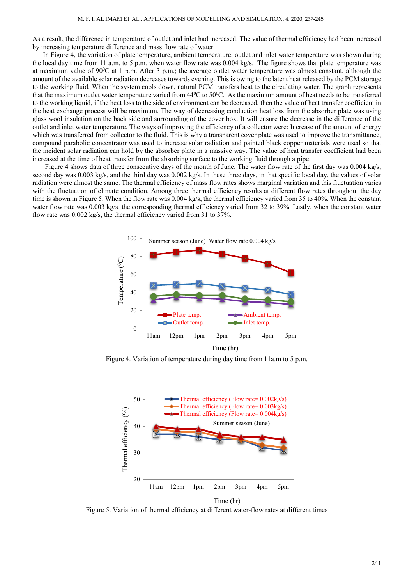As a result, the difference in temperature of outlet and inlet had increased. The value of thermal efficiency had been increased by increasing temperature difference and mass flow rate of water.

 In Figure 4, the variation of plate temperature, ambient temperature, outlet and inlet water temperature was shown during the local day time from 11 a.m. to 5 p.m. when water flow rate was 0.004 kg/s. The figure shows that plate temperature was at maximum value of  $90\textdegree$ C at 1 p.m. After 3 p.m.; the average outlet water temperature was almost constant, although the amount of the available solar radiation decreases towards evening. This is owing to the latent heat released by the PCM storage to the working fluid. When the system cools down, natural PCM transfers heat to the circulating water. The graph represents that the maximum outlet water temperature varied from  $44^{\circ}$ C to  $50^{\circ}$ C. As the maximum amount of heat needs to be transferred to the working liquid, if the heat loss to the side of environment can be decreased, then the value of heat transfer coefficient in the heat exchange process will be maximum. The way of decreasing conduction heat loss from the absorber plate was using glass wool insulation on the back side and surrounding of the cover box. It will ensure the decrease in the difference of the outlet and inlet water temperature. The ways of improving the efficiency of a collector were: Increase of the amount of energy which was transferred from collector to the fluid. This is why a transparent cover plate was used to improve the transmittance, compound parabolic concentrator was used to increase solar radiation and painted black copper materials were used so that the incident solar radiation can hold by the absorber plate in a massive way. The value of heat transfer coefficient had been increased at the time of heat transfer from the absorbing surface to the working fluid through a pipe.

Figure 4 shows data of three consecutive days of the month of June. The water flow rate of the first day was 0.004 kg/s, second day was 0.003 kg/s, and the third day was 0.002 kg/s. In these three days, in that specific local day, the values of solar radiation were almost the same. The thermal efficiency of mass flow rates shows marginal variation and this fluctuation varies with the fluctuation of climate condition. Among three thermal efficiency results at different flow rates throughout the day time is shown in Figure 5. When the flow rate was 0.004 kg/s, the thermal efficiency varied from 35 to 40%. When the constant water flow rate was 0.003 kg/s, the corresponding thermal efficiency varied from 32 to 39%. Lastly, when the constant water flow rate was 0.002 kg/s, the thermal efficiency varied from 31 to 37%.



Figure 4. Variation of temperature during day time from 11a.m to 5 p.m.



Figure 5. Variation of thermal efficiency at different water-flow rates at different times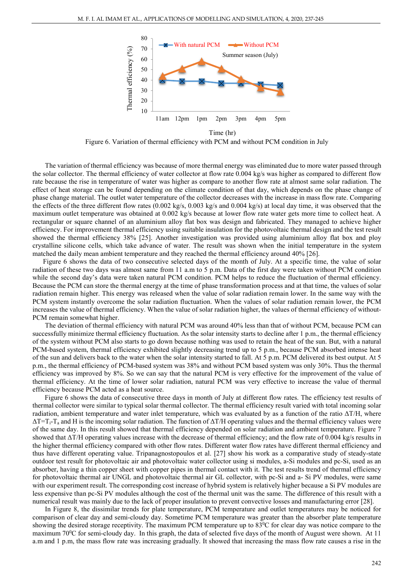

Figure 6. Variation of thermal efficiency with PCM and without PCM condition in July Time (hr)

The variation of thermal efficiency was because of more thermal energy was eliminated due to more water passed through the solar collector. The thermal efficiency of water collector at flow rate 0.004 kg/s was higher as compared to different flow rate because the rise in temperature of water was higher as compare to another flow rate at almost same solar radiation. The effect of heat storage can be found depending on the climate condition of that day, which depends on the phase change of phase change material. The outlet water temperature of the collector decreases with the increase in mass flow rate. Comparing the effects of the three different flow rates (0.002 kg/s, 0.003 kg/s and 0.004 kg/s) at local day time, it was observed that the maximum outlet temperature was obtained at 0.002 kg/s because at lower flow rate water gets more time to collect heat. A rectangular or square channel of an aluminium alloy flat box was design and fabricated. They managed to achieve higher efficiency. For improvement thermal efficiency using suitable insulation for the photovoltaic thermal design and the test result showed the thermal efficiency 38% [25]. Another investigation was provided using aluminium alloy flat box and ploy crystalline silicone cells, which take advance of water. The result was shown when the initial temperature in the system matched the daily mean ambient temperature and they reached the thermal efficiency around 40% [26].

 Figure 6 shows the data of two consecutive selected days of the month of July. At a specific time, the value of solar radiation of these two days was almost same from 11 a.m to 5 p.m. Data of the first day were taken without PCM condition while the second day's data were taken natural PCM condition. PCM helps to reduce the fluctuation of thermal efficiency. Because the PCM can store the thermal energy at the time of phase transformation process and at that time, the values of solar radiation remain higher. This energy was released when the value of solar radiation remain lower. In the same way with the PCM system instantly overcome the solar radiation fluctuation. When the values of solar radiation remain lower, the PCM increases the value of thermal efficiency. When the value of solar radiation higher, the values of thermal efficiency of without-PCM remain somewhat higher.

The deviation of thermal efficiency with natural PCM was around 40% less than that of without PCM, because PCM can successfully minimize thermal efficiency fluctuation. As the solar intensity starts to decline after 1 p.m., the thermal efficiency of the system without PCM also starts to go down because nothing was used to retain the heat of the sun. But, with a natural PCM-based system, thermal efficiency exhibited slightly decreasing trend up to 5 p.m., because PCM absorbed intense heat of the sun and delivers back to the water when the solar intensity started to fall. At 5 p.m. PCM delivered its best output. At 5 p.m., the thermal efficiency of PCM-based system was 38% and without PCM based system was only 30%. Thus the thermal efficiency was improved by 8%. So we can say that the natural PCM is very effective for the improvement of the value of thermal efficiency. At the time of lower solar radiation, natural PCM was very effective to increase the value of thermal efficiency because PCM acted as a heat source.

 Figure 6 shows the data of consecutive three days in month of July at different flow rates. The efficiency test results of thermal collector were similar to typical solar thermal collector. The thermal efficiency result varied with total incoming solar radiation, ambient temperature and water inlet temperature, which was evaluated by as a function of the ratio  $\Delta T/H$ , where  $\Delta T=T_i-T_a$  and H is the incoming solar radiation. The function of  $\Delta T/H$  operating values and the thermal efficiency values were of the same day. In this result showed that thermal efficiency depended on solar radiation and ambient temperature. Figure 7 showed that ΔT/H operating values increase with the decrease of thermal efficiency; and the flow rate of 0.004 kg/s results in the higher thermal efficiency compared with other flow rates. Different water flow rates have different thermal efficiency and thus have different operating value. Tripanagnostopoulos et al. [27] show his work as a comparative study of steady-state outdoor test result for photovoltaic air and photovoltaic water collector using si modules, a-Si modules and pc-Si, used as an absorber, having a thin copper sheet with copper pipes in thermal contact with it. The test results trend of thermal efficiency for photovoltaic thermal air UNGL and photovoltaic thermal air GL collector, with pc-Si and a- Si PV modules, were same with our experiment result. The corresponding cost increase of hybrid system is relatively higher because a Si PV modules are less expensive than pc-Si PV modules although the cost of the thermal unit was the same. The difference of this result with a numerical result was mainly due to the lack of proper insulation to prevent convective losses and manufacturing error [28].

In Figure 8, the dissimilar trends for plate temperature, PCM temperature and outlet temperatures may be noticed for comparison of clear day and semi-cloudy day. Sometime PCM temperature was greater than the absorber plate temperature showing the desired storage receptivity. The maximum PCM temperature up to  $83^{\circ}$ C for clear day was notice compare to the maximum 70<sup>0</sup>C for semi-cloudy day. In this graph, the data of selected five days of the month of August were shown. At 11 a.m and 1 p.m, the mass flow rate was increasing gradually. It showed that increasing the mass flow rate causes a rise in the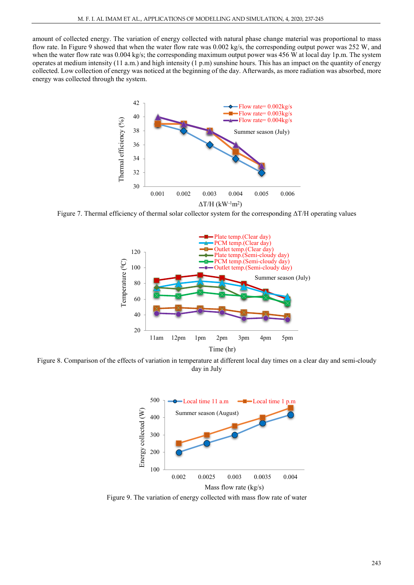amount of collected energy. The variation of energy collected with natural phase change material was proportional to mass flow rate. In Figure 9 showed that when the water flow rate was 0.002 kg/s, the corresponding output power was 252 W, and when the water flow rate was 0.004 kg/s; the corresponding maximum output power was 456 W at local day 1p.m. The system operates at medium intensity (11 a.m.) and high intensity (1 p.m) sunshine hours. This has an impact on the quantity of energy collected. Low collection of energy was noticed at the beginning of the day. Afterwards, as more radiation was absorbed, more energy was collected through the system.



Figure 7. Thermal efficiency of thermal solar collector system for the corresponding ΔT/H operating values



Figure 8. Comparison of the effects of variation in temperature at different local day times on a clear day and semi-cloudy day in July



Figure 9. The variation of energy collected with mass flow rate of water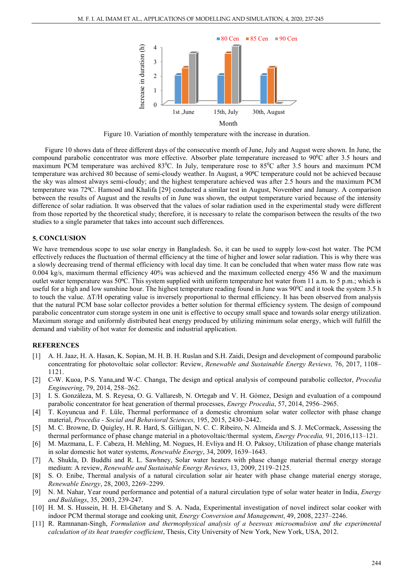

Figure 10. Variation of monthly temperature with the increase in duration.

Figure 10 shows data of three different days of the consecutive month of June, July and August were shown. In June, the compound parabolic concentrator was more effective. Absorber plate temperature increased to  $90^{\circ}$ C after 3.5 hours and maximum PCM temperature was archived 83<sup>o</sup>C. In July, temperature rose to 85<sup>o</sup>C after 3.5 hours and maximum PCM temperature was archived 80 because of semi-cloudy weather. In August, a 90°C temperature could not be achieved because the sky was almost always semi-cloudy; and the highest temperature achieved was after 2.5 hours and the maximum PCM temperature was 72⁰C. Hamood and Khalifa [29] conducted a similar test in August, November and January. A comparison between the results of August and the results of in June was shown, the output temperature varied because of the intensity difference of solar radiation. It was observed that the values of solar radiation used in the experimental study were different from those reported by the theoretical study; therefore, it is necessary to relate the comparison between the results of the two studies to a single parameter that takes into account such differences.

#### **5. CONCLUSION**

We have tremendous scope to use solar energy in Bangladesh. So, it can be used to supply low-cost hot water. The PCM effectively reduces the fluctuation of thermal efficiency at the time of higher and lower solar radiation. This is why there was a slowly decreasing trend of thermal efficiency with local day time. It can be concluded that when water mass flow rate was 0.004 kg/s, maximum thermal efficiency 40% was achieved and the maximum collected energy 456 W and the maximum outlet water temperature was  $50^{\circ}$ C. This system supplied with uniform temperature hot water from 11 a.m. to 5 p.m.; which is useful for a high and low sunshine hour. The highest temperature reading found in June was 90<sup>o</sup>C and it took the system 3.5 h to touch the value. ΔT/H operating value is inversely proportional to thermal efficiency. It has been observed from analysis that the natural PCM base solar collector provides a better solution for thermal efficiency system. The design of compound parabolic concentrator cum storage system in one unit is effective to occupy small space and towards solar energy utilization. Maximum storage and uniformly distributed heat energy produced by utilizing minimum solar energy, which will fulfill the demand and viability of hot water for domestic and industrial application.

#### **REFERENCES**

- [1] A. H. Jaaz, H. A. Hasan, K. Sopian, M. H. B. H. Ruslan and S.H. Zaidi, Design and development of compound parabolic concentrating for photovoltaic solar collector: Review, *Renewable and Sustainable Energy Reviews,* 76, 2017, 1108– 1121.
- [2] C-W. Kuoa, P-S. Yana,and W-C. Changa, The design and optical analysis of compound parabolic collector, *Procedia Engineering*, 79, 2014, 258–262.
- [3] I. S. Gonzáleza, M. S. Reyesa, O. G. Vallaresb, N. Ortegab and V. H. Gómez, Design and evaluation of a compound parabolic concentrator for heat generation of thermal processes, *Energy Procedia*, 57, 2014, 2956–2965.
- [4] T. Koyuncua and F. Lüle, Thermal performance of a domestic chromium solar water collector with phase change material, *Procedia - Social and Behavioral Sciences,* 195, 2015, 2430–2442.
- [5] M. C. Browne, D. Quigley, H. R. Hard, S. Gilligan, N. C. C. Ribeiro, N. Almeida and S. J. McCormack, Assessing the thermal performance of phase change material in a photovoltaic/thermal system, *Energy Procedia,* 91, 2016,113–121.
- [6] M. Mazmana, L. F. Cabeza, H. Mehling, M. Nogues, H. Evliya and H. O. Paksoy, Utilization of phase change materials in solar domestic hot water systems, *Renewable Energy*, 34, 2009, 1639–1643.
- [7] A. Shukla, D. Buddhi and R. L. Sawhney, Solar water heaters with phase change material thermal energy storage medium: A review, *Renewable and Sustainable Energy Reviews*, 13, 2009, 2119–2125.
- [8] S. O. Enibe, Thermal analysis of a natural circulation solar air heater with phase change material energy storage, *Renewable Energy*, 28, 2003, 2269–2299.
- [9] N. M. Nahar, Year round performance and potential of a natural circulation type of solar water heater in India, *Energy and Buildings*, 35, 2003, 239-247.
- [10] H. M. S. Hussein, H. H. El-Ghetany and S. A. Nada, Experimental investigation of novel indirect solar cooker with indoor PCM thermal storage and cooking unit*, Energy Conversion and Management*, 49, 2008, 2237–2246.
- [11] R. Ramnanan-Singh, *Formulation and thermophysical analysis of a beeswax microemulsion and the experimental calculation of its heat transfer coefficient*, Thesis, City University of New York, New York, USA, 2012.